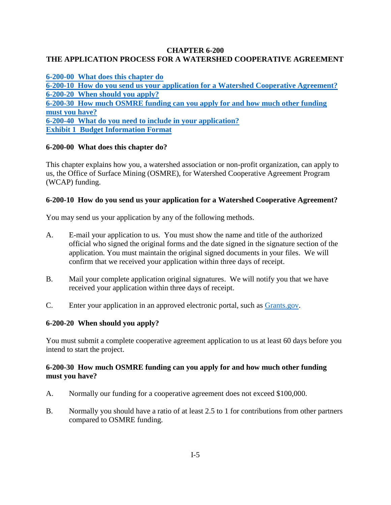# **CHAPTER 6-200 THE APPLICATION PROCESS FOR A WATERSHED COOPERATIVE AGREEMENT**

|                | 6-200-00 What does this chapter do                                                  |
|----------------|-------------------------------------------------------------------------------------|
|                | 6-200-10 How do you send us your application for a Watershed Cooperative Agreement? |
|                | 6-200-20 When should you apply?                                                     |
|                | 6-200-30 How much OSMRE funding can you apply for and how much other funding        |
| must you have? |                                                                                     |
|                | 6-200-40 What do you need to include in your application?                           |
|                | <b>Exhibit 1 Budget Information Format</b>                                          |

# <span id="page-0-0"></span>**6-200-00 What does this chapter do?**

This chapter explains how you, a watershed association or non-profit organization, can apply to us, the Office of Surface Mining (OSMRE), for Watershed Cooperative Agreement Program (WCAP) funding.

#### <span id="page-0-1"></span>**6-200-10 How do you send us your application for a Watershed Cooperative Agreement?**

You may send us your application by any of the following methods.

- A. E-mail your application to us. You must show the name and title of the authorized official who signed the original forms and the date signed in the signature section of the application. You must maintain the original signed documents in your files. We will confirm that we received your application within three days of receipt.
- B. Mail your complete application original signatures. We will notify you that we have received your application within three days of receipt.
- C. Enter your application in an approved electronic portal, such as [Grants.gov.](http://www.grants.gov/web/grants/home.html)

#### <span id="page-0-2"></span>**6-200-20 When should you apply?**

You must submit a complete cooperative agreement application to us at least 60 days before you intend to start the project.

# <span id="page-0-3"></span>**6-200-30 How much OSMRE funding can you apply for and how much other funding must you have?**

- A. Normally our funding for a cooperative agreement does not exceed \$100,000.
- B. Normally you should have a ratio of at least 2.5 to 1 for contributions from other partners compared to OSMRE funding.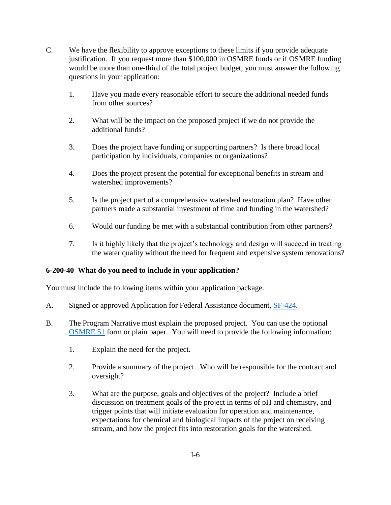- C. We have the flexibility to approve exceptions to these limits if you provide adequate justification. If you request more than \$100,000 in OSMRE funds or if OSMRE funding would be more than one-third of the total project budget, you must answer the following questions in your application:
	- 1. Have you made every reasonable effort to secure the additional needed funds from other sources?
	- 2. What will be the impact on the proposed project if we do not provide the additional funds?
	- 3. Does the project have funding or supporting partners? Is there broad local participation by individuals, companies or organizations?
	- 4. Does the project present the potential for exceptional benefits in stream and watershed improvements?
	- 5. Is the project part of a comprehensive watershed restoration plan? Have other partners made a substantial investment of time and funding in the watershed?
	- 6. Would our funding be met with a substantial contribution from other partners?
	- 7. Is it highly likely that the project's technology and design will succeed in treating the water quality without the need for frequent and expensive system renovations?

# <span id="page-1-0"></span>**6-200-40 What do you need to include in your application?**

You must include the following items within your application package.

- A. Signed or approved Application for Federal Assistance document, [SF-424.](http://apply07.grants.gov/apply/forms/sample/SF424_2_1-V2.1.pdf)
- B. The Program Narrative must explain the proposed project. You can use the optional [OSMRE 51](http://www.osmre.gov/resources/forms/OSM51.pdf) form or plain paper. You will need to provide the following information:
	- 1. Explain the need for the project.
	- 2. Provide a summary of the project. Who will be responsible for the contract and oversight?
	- 3. What are the purpose, goals and objectives of the project? Include a brief discussion on treatment goals of the project in terms of pH and chemistry, and trigger points that will initiate evaluation for operation and maintenance, expectations for chemical and biological impacts of the project on receiving stream, and how the project fits into restoration goals for the watershed.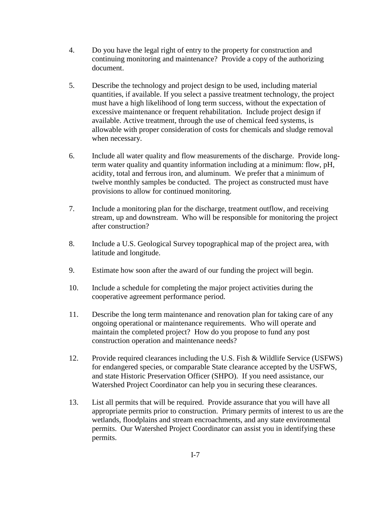- 4. Do you have the legal right of entry to the property for construction and continuing monitoring and maintenance? Provide a copy of the authorizing document.
- 5. Describe the technology and project design to be used, including material quantities, if available. If you select a passive treatment technology, the project must have a high likelihood of long term success, without the expectation of excessive maintenance or frequent rehabilitation. Include project design if available. Active treatment, through the use of chemical feed systems, is allowable with proper consideration of costs for chemicals and sludge removal when necessary.
- 6. Include all water quality and flow measurements of the discharge. Provide longterm water quality and quantity information including at a minimum: flow, pH, acidity, total and ferrous iron, and aluminum. We prefer that a minimum of twelve monthly samples be conducted. The project as constructed must have provisions to allow for continued monitoring.
- 7. Include a monitoring plan for the discharge, treatment outflow, and receiving stream, up and downstream. Who will be responsible for monitoring the project after construction?
- 8. Include a U.S. Geological Survey topographical map of the project area, with latitude and longitude.
- 9. Estimate how soon after the award of our funding the project will begin.
- 10. Include a schedule for completing the major project activities during the cooperative agreement performance period.
- 11. Describe the long term maintenance and renovation plan for taking care of any ongoing operational or maintenance requirements. Who will operate and maintain the completed project? How do you propose to fund any post construction operation and maintenance needs?
- 12. Provide required clearances including the U.S. Fish & Wildlife Service (USFWS) for endangered species, or comparable State clearance accepted by the USFWS, and state Historic Preservation Officer (SHPO). If you need assistance, our Watershed Project Coordinator can help you in securing these clearances.
- 13. List all permits that will be required. Provide assurance that you will have all appropriate permits prior to construction. Primary permits of interest to us are the wetlands, floodplains and stream encroachments, and any state environmental permits. Our Watershed Project Coordinator can assist you in identifying these permits.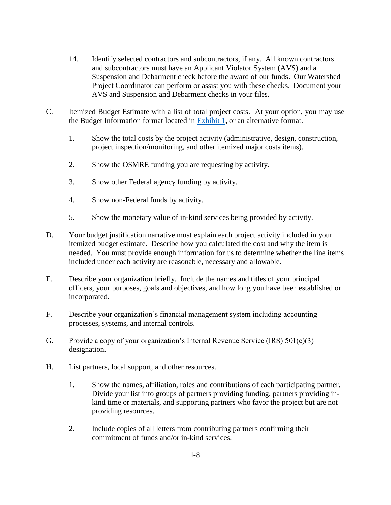- 14. Identify selected contractors and subcontractors, if any. All known contractors and subcontractors must have an Applicant Violator System (AVS) and a Suspension and Debarment check before the award of our funds. Our Watershed Project Coordinator can perform or assist you with these checks. Document your AVS and Suspension and Debarment checks in your files.
- C. Itemized Budget Estimate with a list of total project costs. At your option, you may use the Budget Information format located in [Exhibit 1,](#page-5-0) or an alternative format.
	- 1. Show the total costs by the project activity (administrative, design, construction, project inspection/monitoring, and other itemized major costs items).
	- 2. Show the OSMRE funding you are requesting by activity.
	- 3. Show other Federal agency funding by activity.
	- 4. Show non-Federal funds by activity.
	- 5. Show the monetary value of in-kind services being provided by activity.
- D. Your budget justification narrative must explain each project activity included in your itemized budget estimate. Describe how you calculated the cost and why the item is needed. You must provide enough information for us to determine whether the line items included under each activity are reasonable, necessary and allowable.
- E. Describe your organization briefly. Include the names and titles of your principal officers, your purposes, goals and objectives, and how long you have been established or incorporated.
- F. Describe your organization's financial management system including accounting processes, systems, and internal controls.
- G. Provide a copy of your organization's Internal Revenue Service (IRS)  $501(c)(3)$ designation.
- H. List partners, local support, and other resources.
	- 1. Show the names, affiliation, roles and contributions of each participating partner. Divide your list into groups of partners providing funding, partners providing inkind time or materials, and supporting partners who favor the project but are not providing resources.
	- 2. Include copies of all letters from contributing partners confirming their commitment of funds and/or in-kind services.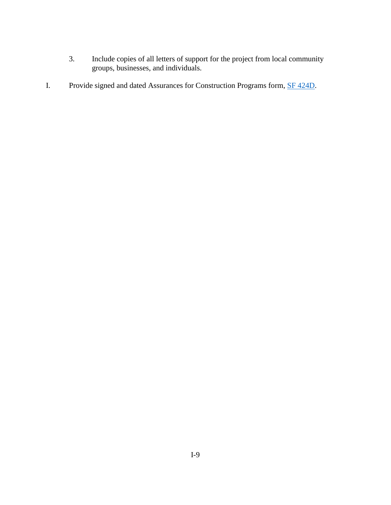- 3. Include copies of all letters of support for the project from local community groups, businesses, and individuals.
- I. Provide signed and dated Assurances for Construction Programs form, **SF 424D**.